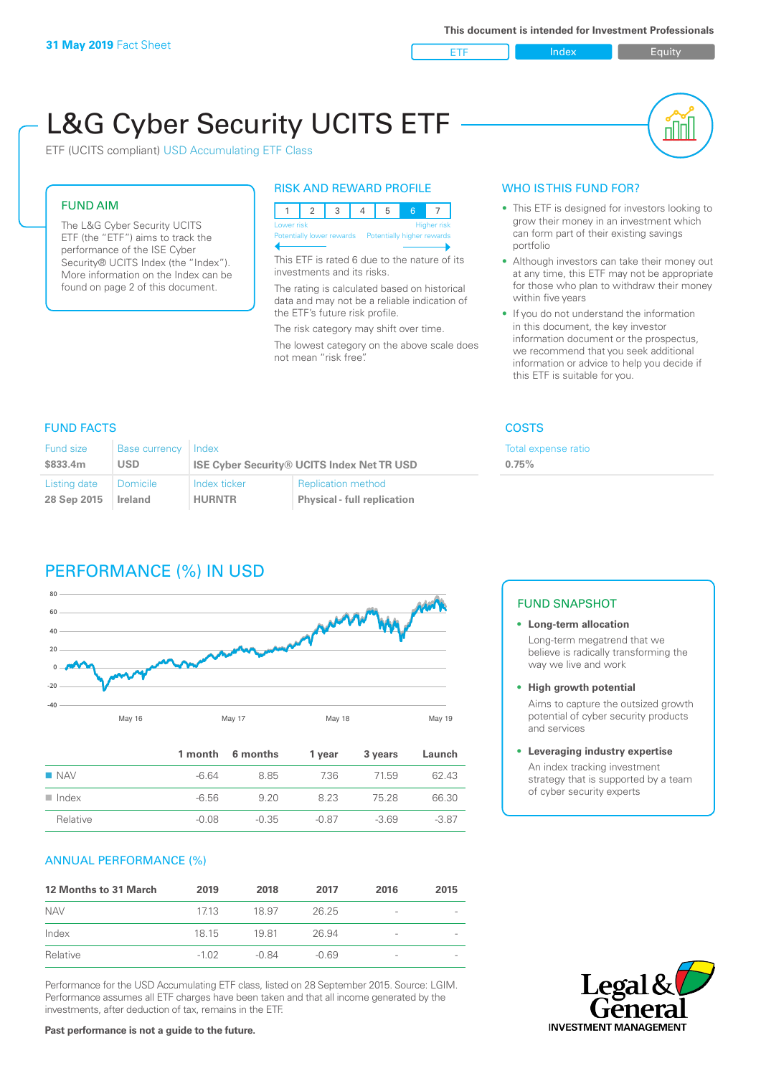ETF Index Buity

nl M

# L&G Cyber Security UCITS ETF

ETF (UCITS compliant) USD Accumulating ETF Class

#### FUND AIM

The L&G Cyber Security UCITS ETF (the "ETF") aims to track the performance of the ISE Cyber Security® UCITS Index (the "Index"). More information on the Index can be found on page 2 of this document.

#### RISK AND REWARD PROFILE

| Lower risk |  |  |  |                                                      |  | <b>Higher risk</b> |  |
|------------|--|--|--|------------------------------------------------------|--|--------------------|--|
|            |  |  |  | Potentially lower rewards Potentially higher rewards |  |                    |  |
|            |  |  |  |                                                      |  |                    |  |

This ETF is rated 6 due to the nature of its investments and its risks.

The rating is calculated based on historical data and may not be a reliable indication of the ETF's future risk profile.

The risk category may shift over time. The lowest category on the above scale does not mean "risk free".

#### WHO IS THIS FUND FOR?

- This ETF is designed for investors looking to grow their money in an investment which can form part of their existing savings portfolio
- Although investors can take their money out at any time, this ETF may not be appropriate for those who plan to withdraw their money within five years
- If you do not understand the information in this document, the key investor information document or the prospectus, we recommend that you seek additional information or advice to help you decide if this ETF is suitable for you.

Total expense ratio

**0.75%**

#### FUND FACTS COSTS

| <b>Fund size</b> | <b>Base currency</b> | Index         |                                                   |
|------------------|----------------------|---------------|---------------------------------------------------|
| \$833.4m         | <b>USD</b>           |               | <b>ISE Cyber Security® UCITS Index Net TR USD</b> |
| Listing date     | Domicile             | Index ticker  | <b>Replication method</b>                         |
| 28 Sep 2015      | Ireland              | <b>HURNTR</b> | <b>Physical - full replication</b>                |

# PERFORMANCE (%) IN USD



|                    |         | 1 month 6 months | 1 year | 3 years | Launch  |
|--------------------|---------|------------------|--------|---------|---------|
| $\blacksquare$ NAV | $-664$  | 8.85             | 736    | 7159    | 62.43   |
| Index              | $-6.56$ | 920              | 823    | 75.28   | 66.30   |
| Relative           | $-0.08$ | -0.35            | -0.87  | $-369$  | $-3.87$ |

#### ANNUAL PERFORMANCE (%)

| <b>12 Months to 31 March</b> | 2019    | 2018  | 2017    | 2016            | 2015 |
|------------------------------|---------|-------|---------|-----------------|------|
| <b>NAV</b>                   | 1713    | 18.97 | 26.25   | -               |      |
| Index                        | 18 15   | 1981  | 26.94   | $\qquad \qquad$ |      |
| Relative                     | $-1.02$ | -0.84 | $-0.69$ | -               |      |

Performance for the USD Accumulating ETF class, listed on 28 September 2015. Source: LGIM. Performance assumes all ETF charges have been taken and that all income generated by the investments, after deduction of tax, remains in the ETF.

### FUND SNAPSHOT

- **• Long-term allocation** Long-term megatrend that we believe is radically transforming the way we live and work
- **• High growth potential**

Aims to capture the outsized growth potential of cyber security products and services

#### **• Leveraging industry expertise**

An index tracking investment strategy that is supported by a team of cyber security experts



**Past performance is not a guide to the future.**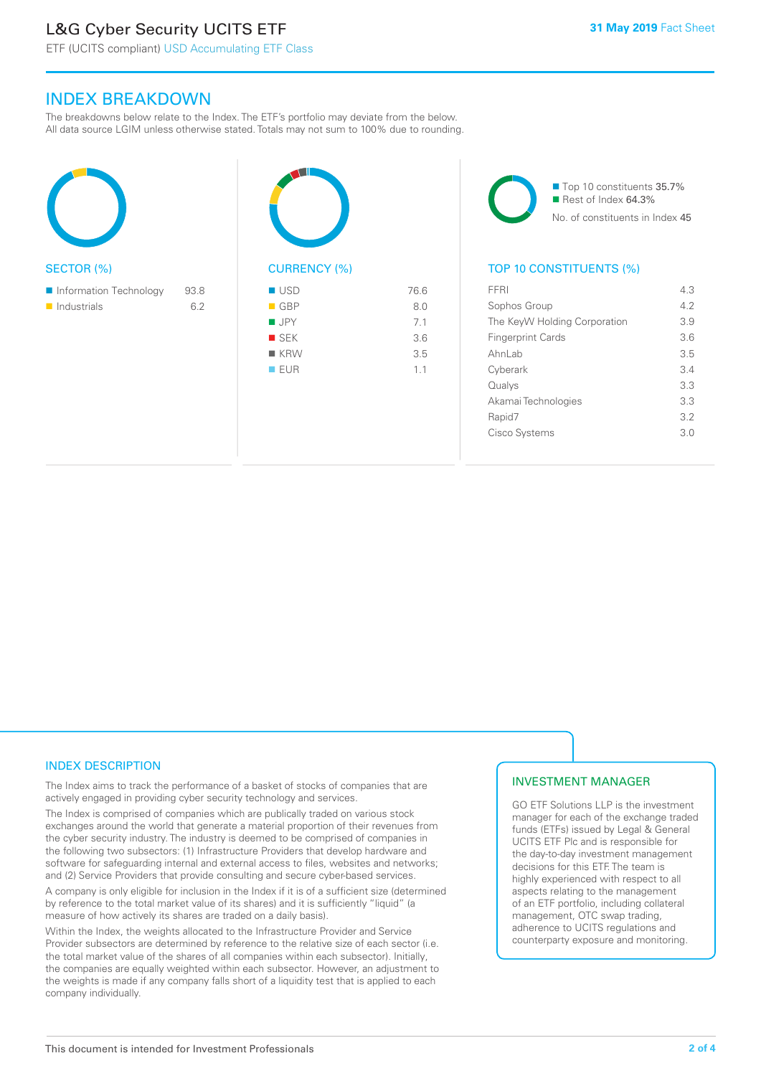# L&G Cyber Security UCITS ETF

#### INDEX BREAKDOWN

The breakdowns below relate to the Index. The ETF's portfolio may deviate from the below. All data source LGIM unless otherwise stated. Totals may not sum to 100% due to rounding.



| <b>CURRENCY (%)</b> |      |
|---------------------|------|
| <b>USD</b>          | 76.6 |
| $\blacksquare$ GBP  | 8.0  |
| $\blacksquare$ JPY  | 7.1  |
| SEK                 | 3.6  |
| ■ KRW               | 3.5  |
| <b>EUR</b>          | 1.1  |
|                     |      |

■ Top 10 constituents 35.7% Rest of Index 64.3% No. of constituents in Index 45

#### TOP 10 CONSTITUENTS (%)

| <b>FFRI</b>                  | 43  |
|------------------------------|-----|
| Sophos Group                 | 42  |
| The KeyW Holding Corporation | 3.9 |
| <b>Fingerprint Cards</b>     | 36  |
| Ahnl ah                      | 35  |
| Cyberark                     | 34  |
| Qualys                       | 33  |
| Akamai Technologies          | 3.3 |
| Rapid7                       | 32  |
| Cisco Systems                | 3 O |
|                              |     |

#### INDEX DESCRIPTION

The Index aims to track the performance of a basket of stocks of companies that are actively engaged in providing cyber security technology and services.

The Index is comprised of companies which are publically traded on various stock exchanges around the world that generate a material proportion of their revenues from the cyber security industry. The industry is deemed to be comprised of companies in the following two subsectors: (1) Infrastructure Providers that develop hardware and software for safeguarding internal and external access to files, websites and networks; and (2) Service Providers that provide consulting and secure cyber-based services.

A company is only eligible for inclusion in the Index if it is of a sufficient size (determined by reference to the total market value of its shares) and it is sufficiently "liquid" (a measure of how actively its shares are traded on a daily basis).

Within the Index, the weights allocated to the Infrastructure Provider and Service Provider subsectors are determined by reference to the relative size of each sector (i.e. the total market value of the shares of all companies within each subsector). Initially, the companies are equally weighted within each subsector. However, an adjustment to the weights is made if any company falls short of a liquidity test that is applied to each company individually.

#### INVESTMENT MANAGER

GO ETF Solutions LLP is the investment manager for each of the exchange traded funds (ETFs) issued by Legal & General UCITS ETF Plc and is responsible for the day-to-day investment management decisions for this ETF. The team is highly experienced with respect to all aspects relating to the management of an ETF portfolio, including collateral management, OTC swap trading, adherence to UCITS regulations and counterparty exposure and monitoring.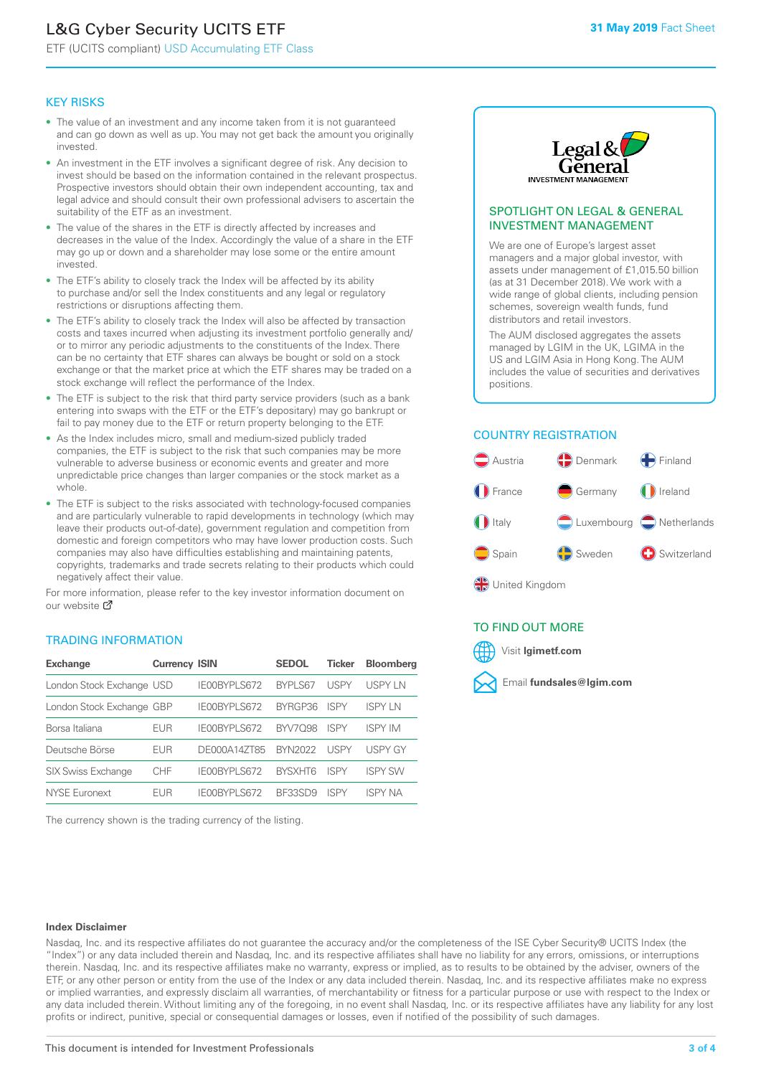# L&G Cyber Security UCITS ETF

ETF (UCITS compliant) USD Accumulating ETF Class

#### KEY RISKS

- The value of an investment and any income taken from it is not guaranteed and can go down as well as up. You may not get back the amount you originally invested.
- An investment in the ETF involves a significant degree of risk. Any decision to invest should be based on the information contained in the relevant prospectus. Prospective investors should obtain their own independent accounting, tax and legal advice and should consult their own professional advisers to ascertain the suitability of the ETF as an investment.
- The value of the shares in the ETF is directly affected by increases and decreases in the value of the Index. Accordingly the value of a share in the ETF may go up or down and a shareholder may lose some or the entire amount invested.
- The ETF's ability to closely track the Index will be affected by its ability to purchase and/or sell the Index constituents and any legal or regulatory restrictions or disruptions affecting them.
- The ETF's ability to closely track the Index will also be affected by transaction costs and taxes incurred when adjusting its investment portfolio generally and/ or to mirror any periodic adjustments to the constituents of the Index. There can be no certainty that ETF shares can always be bought or sold on a stock exchange or that the market price at which the ETF shares may be traded on a stock exchange will reflect the performance of the Index.
- The ETF is subject to the risk that third party service providers (such as a bank entering into swaps with the ETF or the ETF's depositary) may go bankrupt or fail to pay money due to the ETF or return property belonging to the ETF.
- As the Index includes micro, small and medium-sized publicly traded companies, the ETF is subject to the risk that such companies may be more vulnerable to adverse business or economic events and greater and more unpredictable price changes than larger companies or the stock market as a whole.
- The ETF is subject to the risks associated with technology-focused companies and are particularly vulnerable to rapid developments in technology (which may leave their products out-of-date), government regulation and competition from domestic and foreign competitors who may have lower production costs. Such companies may also have difficulties establishing and maintaining patents, copyrights, trademarks and trade secrets relating to their products which could negatively affect their value.

For more in[form](https://www.lgimetf.com/)ation, please refer to the key investor information document on our website Ø

#### TRADING INFORMATION

| <b>Exchange</b>           | <b>Currency ISIN</b> |              | <b>SEDOL</b>   | <b>Ticker</b> | <b>Bloomberg</b> |
|---------------------------|----------------------|--------------|----------------|---------------|------------------|
| London Stock Exchange USD |                      | IE00BYPLS672 | <b>BYPLS67</b> | USPY          | <b>USPYLN</b>    |
| London Stock Exchange GBP |                      | IE00BYPLS672 | BYRGP36        | <b>ISPY</b>   | <b>ISPY IN</b>   |
| Borsa Italiana            | EUR                  | IE00BYPLS672 | <b>BYV7098</b> | <b>ISPY</b>   | <b>ISPY IM</b>   |
| Deutsche Börse            | EUR                  | DE000A14ZT85 | <b>BYN2022</b> | USPY          | <b>USPY GY</b>   |
| <b>SIX Swiss Exchange</b> | <b>CHF</b>           | IE00BYPLS672 | <b>RYSXHT6</b> | <b>ISPY</b>   | <b>ISPY SW</b>   |
| NYSE Euronext             | <b>FUR</b>           | IE00BYPLS672 | <b>BE33SD9</b> | ISPY          | <b>ISPY NA</b>   |

The currency shown is the trading currency of the listing.



#### SPOTLIGHT ON LEGAL & GENERAL INVESTMENT MANAGEMENT

We are one of Europe's largest asset managers and a major global investor, with assets under management of £1,015.50 billion (as at 31 December 2018). We work with a wide range of global clients, including pension schemes, sovereign wealth funds, fund distributors and retail investors.

The AUM disclosed aggregates the assets managed by LGIM in the UK, LGIMA in the US and LGIM Asia in Hong Kong. The AUM includes the value of securities and derivatives positions.

#### COUNTRY REGISTRATION



#### TO FIND OUT MORE



#### **Index Disclaimer**

Nasdaq, Inc. and its respective affiliates do not guarantee the accuracy and/or the completeness of the ISE Cyber Security® UCITS Index (the "Index") or any data included therein and Nasdaq, Inc. and its respective affiliates shall have no liability for any errors, omissions, or interruptions therein. Nasdaq, Inc. and its respective affiliates make no warranty, express or implied, as to results to be obtained by the adviser, owners of the ETF, or any other person or entity from the use of the Index or any data included therein. Nasdaq, Inc. and its respective affiliates make no express or implied warranties, and expressly disclaim all warranties, of merchantability or fitness for a particular purpose or use with respect to the Index or any data included therein. Without limiting any of the foregoing, in no event shall Nasdaq, Inc. or its respective affiliates have any liability for any lost profits or indirect, punitive, special or consequential damages or losses, even if notified of the possibility of such damages.